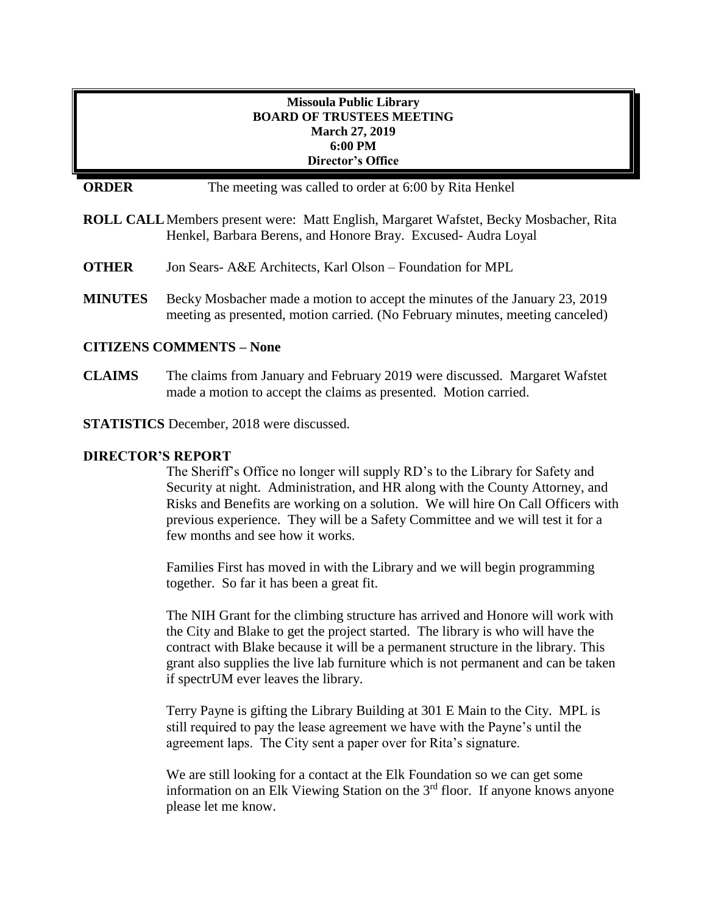## **Missoula Public Library BOARD OF TRUSTEES MEETING March 27, 2019 6:00 PM Director's Office**

# **ORDER** The meeting was called to order at 6:00 by Rita Henkel

- **ROLL CALL**Members present were: Matt English, Margaret Wafstet, Becky Mosbacher, Rita Henkel, Barbara Berens, and Honore Bray. Excused- Audra Loyal
- **OTHER** Jon Sears- A&E Architects, Karl Olson Foundation for MPL
- **MINUTES** Becky Mosbacher made a motion to accept the minutes of the January 23, 2019 meeting as presented, motion carried. (No February minutes, meeting canceled)

### **CITIZENS COMMENTS – None**

**CLAIMS** The claims from January and February 2019 were discussed. Margaret Wafstet made a motion to accept the claims as presented. Motion carried.

**STATISTICS** December, 2018 were discussed.

### **DIRECTOR'S REPORT**

The Sheriff's Office no longer will supply RD's to the Library for Safety and Security at night. Administration, and HR along with the County Attorney, and Risks and Benefits are working on a solution. We will hire On Call Officers with previous experience. They will be a Safety Committee and we will test it for a few months and see how it works.

Families First has moved in with the Library and we will begin programming together. So far it has been a great fit.

The NIH Grant for the climbing structure has arrived and Honore will work with the City and Blake to get the project started. The library is who will have the contract with Blake because it will be a permanent structure in the library. This grant also supplies the live lab furniture which is not permanent and can be taken if spectrUM ever leaves the library.

Terry Payne is gifting the Library Building at 301 E Main to the City. MPL is still required to pay the lease agreement we have with the Payne's until the agreement laps. The City sent a paper over for Rita's signature.

We are still looking for a contact at the Elk Foundation so we can get some information on an Elk Viewing Station on the  $3<sup>rd</sup>$  floor. If anyone knows anyone please let me know.